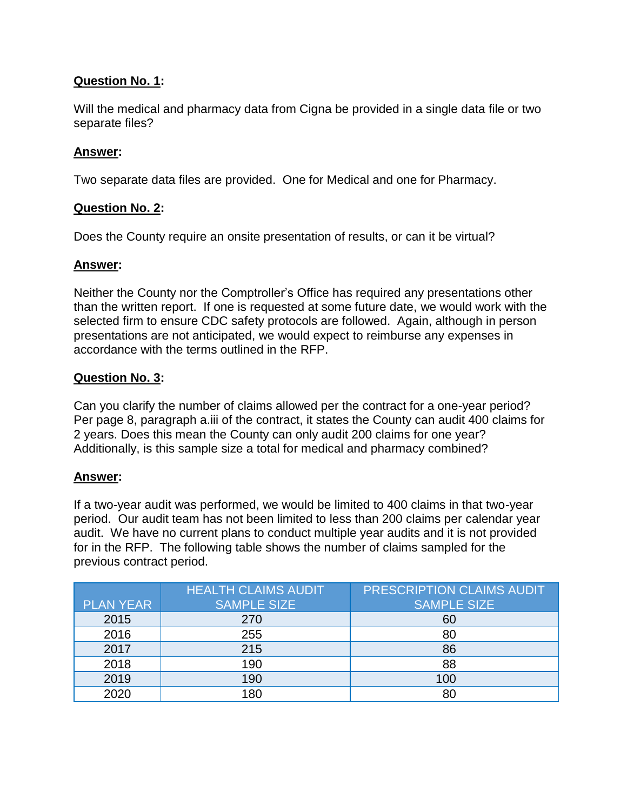# **Question No. 1:**

Will the medical and pharmacy data from Cigna be provided in a single data file or two separate files?

## **Answer:**

Two separate data files are provided. One for Medical and one for Pharmacy.

## **Question No. 2:**

Does the County require an onsite presentation of results, or can it be virtual?

## **Answer:**

Neither the County nor the Comptroller's Office has required any presentations other than the written report. If one is requested at some future date, we would work with the selected firm to ensure CDC safety protocols are followed. Again, although in person presentations are not anticipated, we would expect to reimburse any expenses in accordance with the terms outlined in the RFP.

# **Question No. 3:**

Can you clarify the number of claims allowed per the contract for a one-year period? Per page 8, paragraph a.iii of the contract, it states the County can audit 400 claims for 2 years. Does this mean the County can only audit 200 claims for one year? Additionally, is this sample size a total for medical and pharmacy combined?

## **Answer:**

If a two-year audit was performed, we would be limited to 400 claims in that two-year period. Our audit team has not been limited to less than 200 claims per calendar year audit. We have no current plans to conduct multiple year audits and it is not provided for in the RFP. The following table shows the number of claims sampled for the previous contract period.

|                  | <b>HEALTH CLAIMS AUDIT</b> | <b>PRESCRIPTION CLAIMS AUDIT</b> |
|------------------|----------------------------|----------------------------------|
| <b>PLAN YEAR</b> | <b>SAMPLE SIZE</b>         | <b>SAMPLE SIZE</b>               |
| 2015             | 270                        | 60                               |
| 2016             | 255                        | 80                               |
| 2017             | 215                        | 86                               |
| 2018             | 190                        | 88                               |
| 2019             | 190                        | 100                              |
| 2020             | 180                        | 80                               |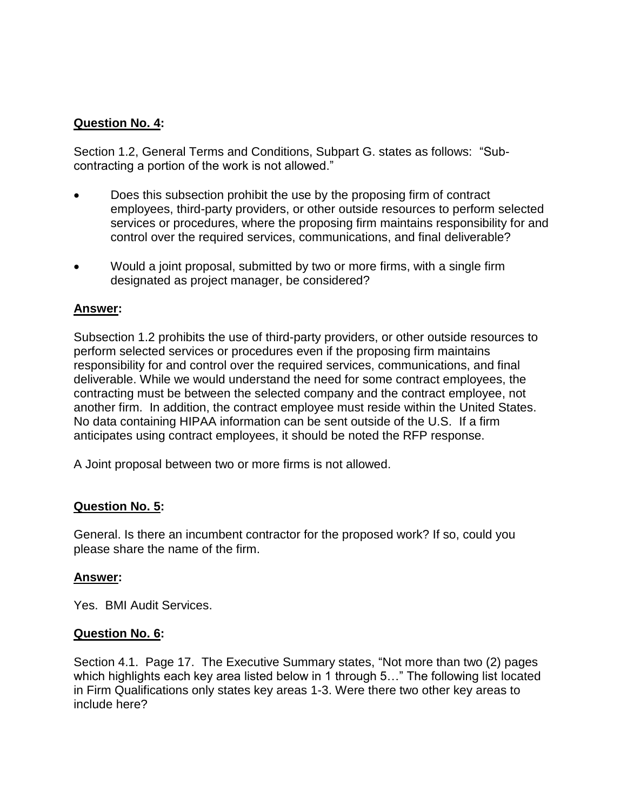## **Question No. 4:**

Section 1.2, General Terms and Conditions, Subpart G. states as follows: "Subcontracting a portion of the work is not allowed."

- Does this subsection prohibit the use by the proposing firm of contract employees, third-party providers, or other outside resources to perform selected services or procedures, where the proposing firm maintains responsibility for and control over the required services, communications, and final deliverable?
- Would a joint proposal, submitted by two or more firms, with a single firm designated as project manager, be considered?

# **Answer:**

Subsection 1.2 prohibits the use of third-party providers, or other outside resources to perform selected services or procedures even if the proposing firm maintains responsibility for and control over the required services, communications, and final deliverable. While we would understand the need for some contract employees, the contracting must be between the selected company and the contract employee, not another firm. In addition, the contract employee must reside within the United States. No data containing HIPAA information can be sent outside of the U.S. If a firm anticipates using contract employees, it should be noted the RFP response.

A Joint proposal between two or more firms is not allowed.

## **Question No. 5:**

General. Is there an incumbent contractor for the proposed work? If so, could you please share the name of the firm.

## **Answer:**

Yes. BMI Audit Services.

#### **Question No. 6:**

Section 4.1. Page 17. The Executive Summary states, "Not more than two (2) pages which highlights each key area listed below in 1 through 5..." The following list located in Firm Qualifications only states key areas 1-3. Were there two other key areas to include here?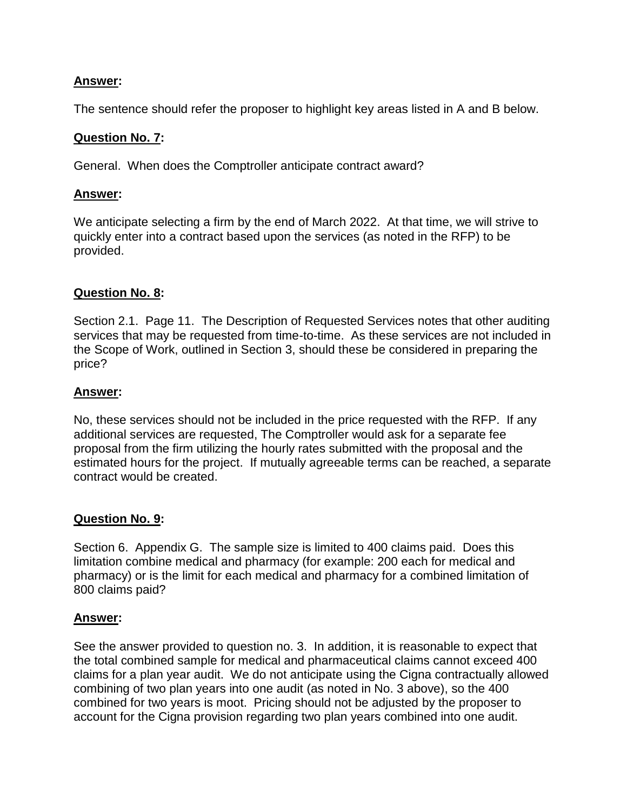# **Answer:**

The sentence should refer the proposer to highlight key areas listed in A and B below.

# **Question No. 7:**

General. When does the Comptroller anticipate contract award?

# **Answer:**

We anticipate selecting a firm by the end of March 2022. At that time, we will strive to quickly enter into a contract based upon the services (as noted in the RFP) to be provided.

# **Question No. 8:**

Section 2.1. Page 11. The Description of Requested Services notes that other auditing services that may be requested from time-to-time. As these services are not included in the Scope of Work, outlined in Section 3, should these be considered in preparing the price?

## **Answer:**

No, these services should not be included in the price requested with the RFP. If any additional services are requested, The Comptroller would ask for a separate fee proposal from the firm utilizing the hourly rates submitted with the proposal and the estimated hours for the project. If mutually agreeable terms can be reached, a separate contract would be created.

## **Question No. 9:**

Section 6. Appendix G. The sample size is limited to 400 claims paid. Does this limitation combine medical and pharmacy (for example: 200 each for medical and pharmacy) or is the limit for each medical and pharmacy for a combined limitation of 800 claims paid?

## **Answer:**

See the answer provided to question no. 3. In addition, it is reasonable to expect that the total combined sample for medical and pharmaceutical claims cannot exceed 400 claims for a plan year audit. We do not anticipate using the Cigna contractually allowed combining of two plan years into one audit (as noted in No. 3 above), so the 400 combined for two years is moot. Pricing should not be adjusted by the proposer to account for the Cigna provision regarding two plan years combined into one audit.